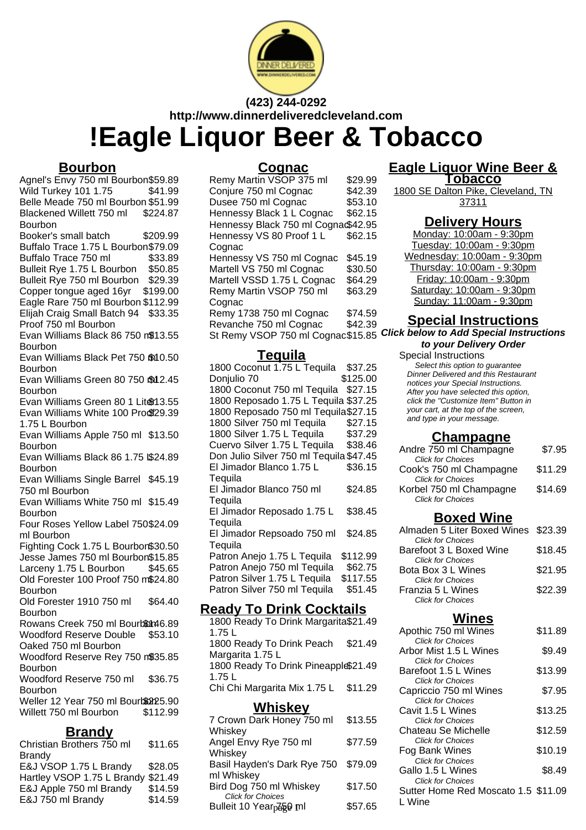

**(423) 244-0292 http://www.dinnerdeliveredcleveland.com**

# **!Eagle Liquor Beer & Tobacco**

#### **Bourbon**

Agnel's Envy 750 ml Bourbon\$59.89 Wild Turkey 101 1.75 \$41.99 Belle Meade 750 ml Bourbon \$51.99 Blackened Willett 750 ml Bourbon \$224.87 Booker's small batch \$209.99 Buffalo Trace 1.75 L Bourbon\$79.09 Buffalo Trace 750 ml \$33.89 Bulleit Rye 1.75 L Bourbon \$50.85 Bulleit Rye 750 ml Bourbon \$29.39 Copper tongue aged 16yr \$199.00 Eagle Rare 750 ml Bourbon \$112.99 Elijah Craig Small Batch 94 \$33.35 Proof 750 ml Bourbon Evan Williams Black 86 750 m\$13.55 Bourbon Evan Williams Black Pet 750 fol 0.50 **Bourbon** Evan Williams Green 80 750 \$12.45 Bourbon Evan Williams Green 80 1 Liter13.55 Evan Williams White 100 Procf29.39 1.75 L Bourbon Evan Williams Apple 750 ml \$13.50 Bourbon Evan Williams Black 86 1.75 \$24.89 Bourbon Evan Williams Single Barrel \$45.19 750 ml Bourbon Evan Williams White 750 ml \$15.49 Bourbon Four Roses Yellow Label 750 \$24.09 ml Bourbon Fighting Cock 1.75 L Bourbon\$30.50 Jesse James 750 ml Bourbon\$15.85 Larceny 1.75 L Bourbon \$45.65 Old Forester 100 Proof 750 m\$24.80 **Bourbon** Old Forester 1910 750 ml **Bourbon** \$64.40 Rowans Creek 750 ml Bourbon46.89 Woodford Reserve Double Oaked 750 ml Bourbon \$53.10 Woodford Reserve Rey 750 m\$35.85 Bourbon Woodford Reserve 750 ml Bourbon \$36.75 Weller 12 Year 750 ml Bourbon 25.90 Willett 750 ml Bourbon \$112.99 **Brandy**

| Christian Brothers 750 ml          | \$11.65 |
|------------------------------------|---------|
| Brandv                             |         |
| E&J VSOP 1.75 L Brandy             | \$28.05 |
| Hartley VSOP 1.75 L Brandy \$21.49 |         |
| E&J Apple 750 ml Brandy            | \$14.59 |
| E&J 750 ml Brandy                  | \$14.59 |
|                                    |         |

#### **Cognac**

Remy Martin VSOP 375 ml \$29.99<br>Coniure 750 ml Cognac \$42.39 Conjure 750 ml Cognac \$42.39<br>Dusee 750 ml Cognac \$53.10 Dusee 750 ml Cognac Hennessy Black 1 L Cognac \$62.15 Hennessy Black 750 ml Cognac\$42.95 Hennessy VS 80 Proof 1 L Cognac \$62.15 Hennessy VS 750 ml Cognac \$45.19 Martell VS 750 ml Cognac \$30.50 Martell VSSD 1.75 L Cognac \$64.29 Remy Martin VSOP 750 ml **Cognac** \$63.29 Remy 1738 750 ml Cognac \$74.59 Revanche 750 ml Cognac \$42.39

#### **Tequila**

| 1800 Coconut 1.75 L Tequila             | \$37.25  |  |
|-----------------------------------------|----------|--|
| Donjulio 70                             | \$125.00 |  |
| 1800 Coconut 750 ml Tequila             | \$27.15  |  |
| 1800 Reposado 1.75 L Tequila \$37.25    |          |  |
| 1800 Reposado 750 ml Tequila \$27.15    |          |  |
| 1800 Silver 750 ml Tequila              | \$27.15  |  |
| 1800 Silver 1.75 L Tequila              | \$37.29  |  |
| Cuervo Silver 1.75 L Tequila            | \$38.46  |  |
| Don Julio Silver 750 ml Tequila \$47.45 |          |  |
| El Jimador Blanco 1.75 L                | \$36.15  |  |
| Tequila                                 |          |  |
| El Jimador Blanco 750 ml                | \$24.85  |  |
| Tequila                                 |          |  |
| El Jimador Reposado 1.75 L              | \$38.45  |  |
| Tequila                                 |          |  |
| El Jimador Repsoado 750 ml              | \$24.85  |  |
| Tequila                                 |          |  |
| Patron Anejo 1.75 L Tequila             | \$112.99 |  |
| Patron Anejo 750 ml Tequila             | \$62.75  |  |
| Patron Silver 1.75 L Tequila            | \$117.55 |  |
| Patron Silver 750 ml Tequila            | \$51.45  |  |

### **Ready To Drink Cocktails**

1800 Ready To Drink Margarita \$21.49 1.75 L 1800 Ready To Drink Peach Margarita 1.75 L \$21.49 1800 Ready To Drink Pineapple\$21.49 1.75 L Chi Chi Margarita Mix 1.75 L \$11.29

#### **Whiskey** 7 Crown Dark Honey 750 ml Whiskey \$13.55 Angel Envy Rye 750 ml Whiskey \$77.59 Basil Hayden's Dark Rye 750 ml Whiskey \$79.09 Bird Dog 750 ml Whiskey \$17.50 Click for Choices Bulleit 10 Year<sub>p</sub>ā§**9 ml \$57.65**

#### **Eagle Liquor Wine Beer & Tobacco**

1800 SE Dalton Pike, Cleveland, TN 37311

#### **Delivery Hours**

Monday: 10:00am - 9:30pm Tuesday: 10:00am - 9:30pm Wednesday: 10:00am - 9:30pm Thursday: 10:00am - 9:30pm Friday: 10:00am - 9:30pm Saturday: 10:00am - 9:30pm Sunday: 11:00am - 9:30pm

#### **Special Instructions**

St Remy VSOP 750 ml Cognac\$15.85 **Click below to Add Special Instructions to your Delivery Order**

Special Instructions Select this option to quarantee

Dinner Delivered and this Restaurant notices your Special Instructions. After you have selected this option, click the "Customize Item" Button in your cart, at the top of the screen, and type in your message.

#### **Champagne**

| Andre 750 ml Champagne   | \$7.95  |
|--------------------------|---------|
| <b>Click for Choices</b> |         |
| Cook's 750 ml Champagne  | \$11.29 |
| <b>Click for Choices</b> |         |
| Korbel 750 ml Champagne  | \$14.69 |
| <b>Click for Choices</b> |         |

#### **Boxed Wine**

| Almaden 5 Liter Boxed Wines \$23.39 |
|-------------------------------------|
|                                     |
| \$18.45                             |
| \$21.95                             |
|                                     |
| \$22.39                             |
|                                     |
|                                     |

# **Wines**

| Apothic 750 ml Wines                | \$11.89 |
|-------------------------------------|---------|
| <b>Click for Choices</b>            |         |
| Arbor Mist 1.5 L Wines              | \$9.49  |
| <b>Click for Choices</b>            |         |
| Barefoot 1.5 L Wines                | \$13.99 |
| <b>Click for Choices</b>            |         |
| Capriccio 750 ml Wines              | \$7.95  |
| <b>Click for Choices</b>            |         |
| Cavit 1.5 L Wines                   | \$13.25 |
| <b>Click for Choices</b>            |         |
| Chateau Se Michelle                 | \$12.59 |
| <b>Click for Choices</b>            |         |
| Fog Bank Wines                      | \$10.19 |
| <b>Click for Choices</b>            |         |
| Gallo 1.5 L Wines                   | \$8.49  |
| <b>Click for Choices</b>            |         |
| Sutter Home Red Moscato 1.5 \$11.09 |         |
| L Wine                              |         |
|                                     |         |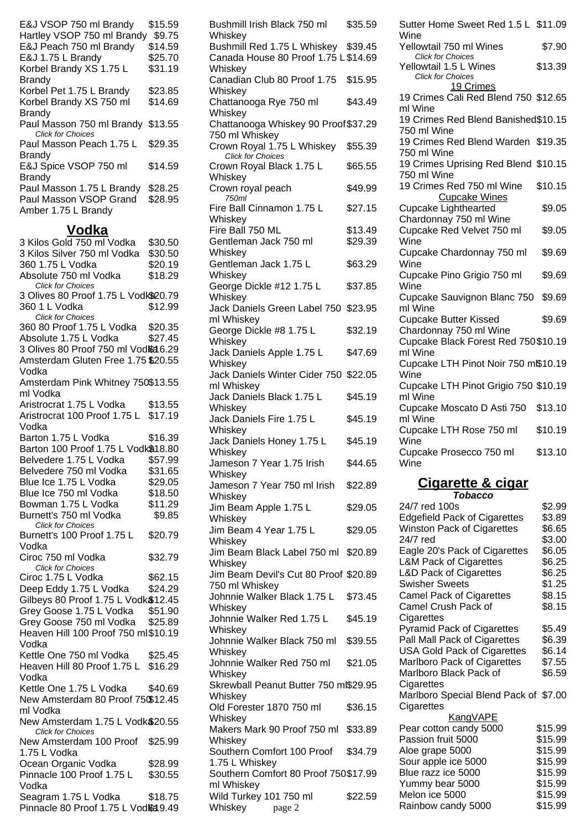| E&J VSOP 750 ml Brandy            | \$15.59 |
|-----------------------------------|---------|
| Hartley VSOP 750 ml Brandy        | \$9.75  |
| E&J Peach 750 ml Brandy           | \$14.59 |
| E&J 1.75 L Brandy                 | \$25.70 |
| Korbel Brandy XS 1.75 L           | \$31.19 |
| Brandy                            |         |
| Korbel Pet 1.75 L Brandy          | \$23.85 |
| Korbel Brandy XS 750 ml           | \$14.69 |
| <b>Brandy</b>                     |         |
| Paul Masson 750 ml Brandy \$13.55 |         |
| <b>Click for Choices</b>          |         |
| Paul Masson Peach 1.75 L          | \$29.35 |
| Brandy                            |         |
| E&J Spice VSOP 750 ml             | \$14.59 |
| <b>Brandy</b>                     |         |
| Paul Masson 1.75 L Brandy         | \$28.25 |
| Paul Masson VSOP Grand            | \$28.95 |
| Amber 1.75 L Brandy               |         |

#### **Vodka**

3 Kilos Gold 750 ml Vodka \$30.50 3 Kilos Silver 750 ml Vodka \$30.50 360 1.75 L Vodka \$20.19 Absolute 750 ml Vodka \$18.29 Click for Choices 3 Olives 80 Proof 1.75 L Vodk\$20.79 360 1 L Vodka \$12.99 Click for Choices 360 80 Proof 1.75 L Vodka \$20.35 Absolute 1.75 L Vodka \$27.45 3 Olives 80 Proof 750 ml Vod& 16.29 Amsterdam Gluten Free 1.75 \$20.55 Vodka Amsterdam Pink Whitney 750 \$13.55 ml Vodka Aristrocrat 1.75 L Vodka \$13.55 Aristrocrat 100 Proof 1.75 L \$17.19 Vodka Barton 1.75 L Vodka \$16.39 Barton 100 Proof 1.75 L Vodk\$18.80 Belvedere 1.75 L Vodka \$57.99 Belvedere 750 ml Vodka \$31.65 Blue Ice 1.75 L Vodka \$29.05 Blue Ice 750 ml Vodka \$18.50 Bowman 1.75 L Vodka \$11.29 Burnett's 750 ml Vodka \$9.85 Click for Choices Burnett's 100 Proof 1.75 L Vodka \$20.79 Ciroc 750 ml Vodka \$32.79 Click for Choices Ciroc 1.75 L Vodka \$62.15 Deep Eddy 1.75 L Vodka \$24.29 Gilbeys 80 Proof 1.75 L Vodk\$12.45 Grey Goose 1.75 L Vodka \$51.90 Grey Goose 750 ml Vodka \$25.89 Heaven Hill 100 Proof 750 ml \$10.19 Vodka Kettle One 750 ml Vodka \$25.45 Heaven Hill 80 Proof 1.75 L \$16.29 Vodka Kettle One 1.75 L Vodka \$40.69 New Amsterdam 80 Proof 750 \$12.45 ml Vodka New Amsterdam 1.75 L Vodk\$20.55 Click for Choices New Amsterdam 100 Proof \$25.99 1.75 L Vodka Ocean Organic Vodka \$28.99 Pinnacle 100 Proof 1.75 L Vodka \$30.55 Seagram 1.75 L Vodka \$18.75 Pinnacle 80 Proof 1.75 L Vodka 9.49

|                                                                                        | \$35.59            |
|----------------------------------------------------------------------------------------|--------------------|
| Whiskey<br>Bushmill Red 1.75 L Whiskey \$39.45<br>Canada House 80 Proof 1.75 L \$14.69 |                    |
| Whiskey<br>Canadian Club 80 Proof 1.75                                                 | \$15.95            |
| Whiskey<br>Chattanooga Rye 750 ml                                                      | \$43.49            |
| Whiskey<br>Chattanooga Whiskey 90 Proof \$37.29                                        |                    |
| 750 ml Whiskey<br>Crown Royal 1.75 L Whiskey                                           | \$55.39            |
| Click for Choices<br>Crown Royal Black 1.75 L                                          | \$65.55            |
| Whiskey<br>Crown royal peach                                                           | \$49.99            |
| 750ml<br>Fire Ball Cinnamon 1.75 L                                                     | \$27.15            |
| Whiskey<br>Fire Ball 750 ML<br>Gentleman Jack 750 ml                                   | \$13.49<br>\$29.39 |
| Whiskey<br>Gentleman Jack 1.75 L                                                       | \$63.29            |
| Whiskey<br>George Dickle #12 1.75 L                                                    | \$37.85            |
| Whiskey<br>Jack Daniels Green Label 750                                                | \$23.95            |
| ml Whiskey                                                                             |                    |
| George Dickle #8 1.75 L<br>Whiskey                                                     | \$32.19            |
| Jack Daniels Apple 1.75 L<br>Whiskey                                                   | \$47.69            |
| Jack Daniels Winter Cider 750 \$22.05<br>ml Whiskey                                    |                    |
| Jack Daniels Black 1.75 L<br>Whiskey                                                   | \$45.19            |
| Jack Daniels Fire 1.75 L<br>Whiskey                                                    | \$45.19            |
| Jack Daniels Honey 1.75 L<br>Whiskey                                                   | \$45.19            |
| Jameson 7 Year 1.75 Irish<br>Whiskey                                                   | \$44.65            |
| Jameson 7 Year 750 ml Irish<br>Whiskey                                                 | \$22.89            |
| Jim Beam Apple 1.75 L                                                                  | \$29.05            |
| Whiskey<br>Jim Beam 4 Year 1.75 L                                                      | \$29.05            |
| Whiskey<br>Jim Beam Black Label 750 ml                                                 | \$20.89            |
| Whiskey<br>Jim Beam Devil's Cut 80 Proof \$20.89                                       |                    |
| 750 ml Whiskey<br>Johnnie Walker Black 1.75 L                                          | \$73.45            |
| Whiskey<br>Johnnie Walker Red 1.75 L                                                   | \$45.19            |
| Whiskey<br>Johnnie Walker Black 750 ml                                                 | \$39.55            |
| Whiskey<br>Johnnie Walker Red 750 ml                                                   | \$21.05            |
| Whiskey<br>Skrewball Peanut Butter 750 ml\$29.95                                       |                    |
| Whiskey<br>Old Forester 1870 750 ml                                                    | \$36.15            |
|                                                                                        |                    |
| Whiskey                                                                                |                    |
| Makers Mark 90 Proof 750 ml<br>Whiskey                                                 | \$33.89            |
| Southern Comfort 100 Proof<br>1.75 L Whiskey                                           | \$34.79            |
| Southern Comfort 80 Proof 750\$17.99<br>ml Whiskey<br>Wild Turkey 101 750 ml           | \$22.59            |

| Sutter Home Sweet Red 1.5 L \$11.09<br>Wine         |         |
|-----------------------------------------------------|---------|
| Yellowtail 750 ml Wines<br><b>Click for Choices</b> | \$7.90  |
| Yellowtail 1.5 L Wines<br><b>Click for Choices</b>  | \$13.39 |
| 19 Crimes                                           |         |
| 19 Crimes Cali Red Blend 750 \$12.65<br>ml Wine     |         |
| 19 Crimes Red Blend Banished\$10.15                 |         |
| 750 ml Wine                                         |         |
| 19 Crimes Red Blend Warden \$19.35<br>750 ml Wine   |         |
| 19 Crimes Uprising Red Blend \$10.15<br>750 ml Wine |         |
| 19 Crimes Red 750 ml Wine                           | \$10.15 |
| <b>Cupcake Wines</b>                                |         |
| <b>Cupcake Lighthearted</b>                         | \$9.05  |
| Chardonnay 750 ml Wine                              |         |
| Cupcake Red Velvet 750 ml                           | \$9.05  |
| Wine                                                |         |
| Cupcake Chardonnay 750 ml<br>Wine                   | \$9.69  |
| Cupcake Pino Grigio 750 ml                          | \$9.69  |
| Wine                                                |         |
| Cupcake Sauvignon Blanc 750<br>ml Wine              | \$9.69  |
| <b>Cupcake Butter Kissed</b>                        | \$9.69  |
| Chardonnay 750 ml Wine                              |         |
| Cupcake Black Forest Red 750\$10.19<br>ml Wine      |         |
| Cupcake LTH Pinot Noir 750 mß10.19                  |         |
| Wine                                                |         |
| Cupcake LTH Pinot Grigio 750 \$10.19<br>ml Wine     |         |
| Cupcake Moscato D Asti 750                          | \$13.10 |
| ml Wine<br>Cupcake LTH Rose 750 ml                  | \$10.19 |
| Wine                                                |         |
| Cupcake Prosecco 750 ml<br>Wine                     | \$13.10 |
|                                                     |         |

#### **Cigarette & cigar Tobacco**

| 24/7 red 100s                         | \$2.99  |
|---------------------------------------|---------|
| <b>Edgefield Pack of Cigarettes</b>   | \$3.89  |
| <b>Winston Pack of Cigarettes</b>     | \$6.65  |
| 24/7 red                              | \$3.00  |
| Eagle 20's Pack of Cigarettes         | \$6.05  |
| <b>L&amp;M Pack of Cigarettes</b>     | \$6.25  |
| <b>L&amp;D Pack of Cigarettes</b>     | \$6.25  |
| <b>Swisher Sweets</b>                 | \$1.25  |
| <b>Camel Pack of Cigarettes</b>       | \$8.15  |
| Camel Crush Pack of                   | \$8.15  |
| Cigarettes                            |         |
| <b>Pyramid Pack of Cigarettes</b>     | \$5.49  |
| Pall Mall Pack of Cigarettes          | \$6.39  |
| <b>USA Gold Pack of Cigarettes</b>    | \$6.14  |
| Marlboro Pack of Cigarettes           | \$7.55  |
| Marlboro Black Pack of                | \$6.59  |
| Cigarettes                            |         |
| Marlboro Special Blend Pack of \$7.00 |         |
| Cigarettes                            |         |
| <u>KangVAPE</u>                       |         |
| Pear cotton candy 5000                | \$15.99 |
| Passion fruit 5000                    | \$15.99 |
| Aloe grape 5000                       | \$15.99 |
| Sour apple ice 5000                   | \$15.99 |
| Blue razz ice 5000                    | \$15.99 |
| Yummy bear 5000                       | \$15.99 |
| Melon ice 5000                        | \$15.99 |
| Rainbow candy 5000                    | \$15.99 |